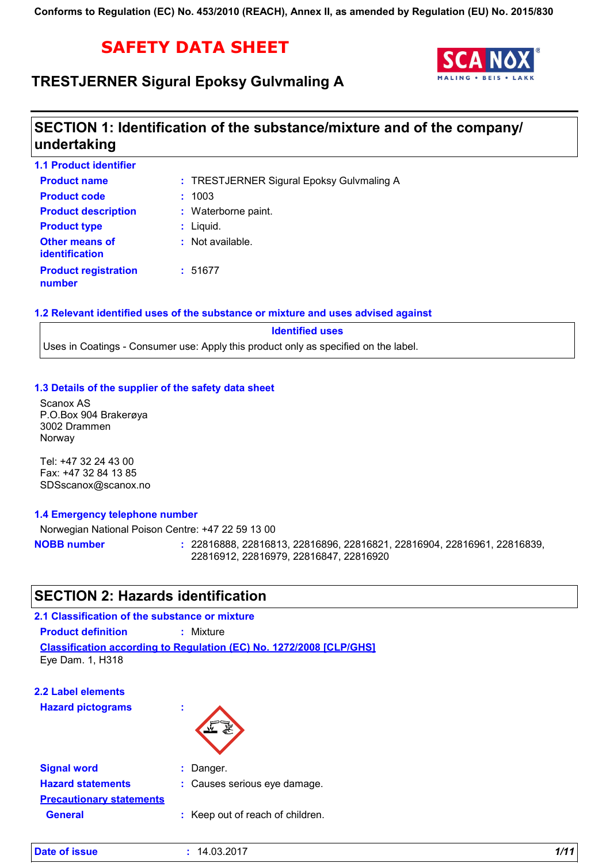# **SAFETY DATA SHEET**

## **TRESTJERNER Sigural Epoksy Gulvmaling A**



# **SECTION 1: Identification of the substance/mixture and of the company/ undertaking**

| <b>1.1 Product identifier</b>                  |                                           |
|------------------------------------------------|-------------------------------------------|
| <b>Product name</b>                            | : TRESTJERNER Sigural Epoksy Gulvmaling A |
| <b>Product code</b>                            | : 1003                                    |
| <b>Product description</b>                     | : Waterborne paint.                       |
| <b>Product type</b>                            | $:$ Liquid.                               |
| <b>Other means of</b><br><b>identification</b> | $:$ Not available.                        |
| <b>Product registration</b><br>number          | :51677                                    |

### **1.2 Relevant identified uses of the substance or mixture and uses advised against**

**Identified uses** Uses in Coatings - Consumer use: Apply this product only as specified on the label.

### **1.3 Details of the supplier of the safety data sheet**

Scanox AS P.O.Box 904 Brakerøya 3002 Drammen Norway

Tel: +47 32 24 43 00 Fax: +47 32 84 13 85 SDSscanox@scanox.no

### **1.4 Emergency telephone number**

Norwegian National Poison Centre: +47 22 59 13 00 22816888, 22816813, 22816896, 22816821, 22816904, 22816961, 22816839, 22816912, 22816979, 22816847, 22816920 **NOBB number :**

## **SECTION 2: Hazards identification**

### **2.1 Classification of the substance or mixture**

**Product definition :** Mixture

**Classification according to Regulation (EC) No. 1272/2008 [CLP/GHS]** Eye Dam. 1, H318

|  |  |  | <b>2.2 Label elements</b> |  |
|--|--|--|---------------------------|--|
|--|--|--|---------------------------|--|

**Hazard pictograms :**



| <b>Signal word</b>              | $:$ Danger.                      |
|---------------------------------|----------------------------------|
| <b>Hazard statements</b>        | : Causes serious eye damage.     |
| <b>Precautionary statements</b> |                                  |
| <b>General</b>                  | : Keep out of reach of children. |
|                                 |                                  |

| Date of issue<br>1/11<br>14.03.2017 |
|-------------------------------------|
|-------------------------------------|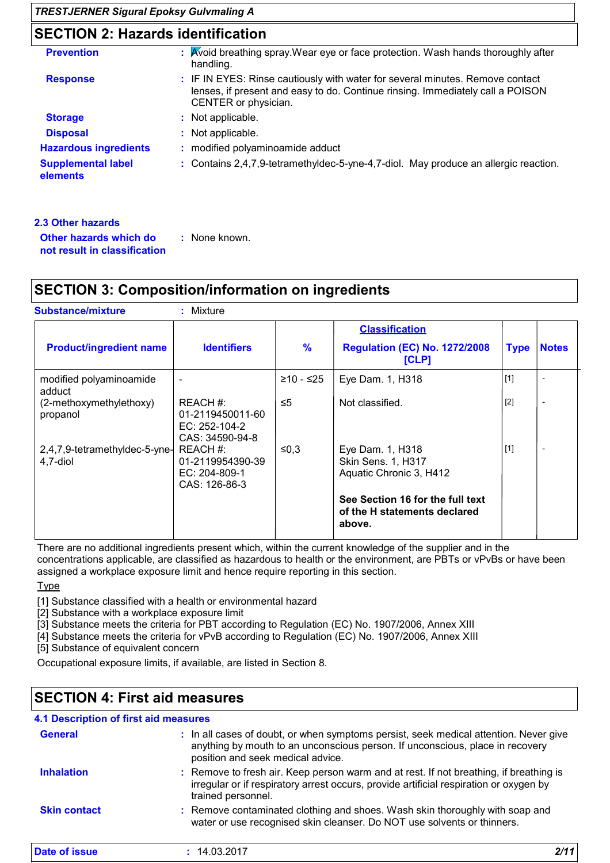# **SECTION 2: Hazards identification**

| <b>Prevention</b>                     | : Avoid breathing spray. Wear eye or face protection. Wash hands thoroughly after<br>handling.                                                                                          |
|---------------------------------------|-----------------------------------------------------------------------------------------------------------------------------------------------------------------------------------------|
| <b>Response</b>                       | : IF IN EYES: Rinse cautiously with water for several minutes. Remove contact<br>lenses, if present and easy to do. Continue rinsing. Immediately call a POISON<br>CENTER or physician. |
| <b>Storage</b>                        | : Not applicable.                                                                                                                                                                       |
| <b>Disposal</b>                       | : Not applicable.                                                                                                                                                                       |
| <b>Hazardous ingredients</b>          | : modified polyaminoamide adduct                                                                                                                                                        |
| <b>Supplemental label</b><br>elements | : Contains 2,4,7,9-tetramethyldec-5-yne-4,7-diol. May produce an allergic reaction.                                                                                                     |
|                                       |                                                                                                                                                                                         |

| .3 Other hazards                                       |               |
|--------------------------------------------------------|---------------|
| Other hazards which do<br>not result in classification | : None known. |

## **SECTION 3: Composition/information on ingredients**

| <b>Substance/mixture</b>                  | Mixture                                                          |               |                                                                            |             |                          |
|-------------------------------------------|------------------------------------------------------------------|---------------|----------------------------------------------------------------------------|-------------|--------------------------|
| <b>Product/ingredient name</b>            | <b>Identifiers</b>                                               | $\frac{9}{6}$ | <b>Classification</b><br><b>Regulation (EC) No. 1272/2008</b><br>[CLP]     | <b>Type</b> | <b>Notes</b>             |
| modified polyaminoamide<br>adduct         |                                                                  | ≥10 - ≤25     | Eye Dam. 1, H318                                                           | $[1]$       | $\overline{\phantom{a}}$ |
| (2-methoxymethylethoxy)<br>propanol       | REACH #:<br>01-2119450011-60<br>EC: 252-104-2<br>CAS: 34590-94-8 | $\leq 5$      | Not classified.                                                            | $[2]$       | $\overline{\phantom{a}}$ |
| 2,4,7,9-tetramethyldec-5-yne-<br>4,7-diol | REACH #:<br>01-2119954390-39<br>EC: 204-809-1<br>CAS: 126-86-3   | ≤0,3          | Eye Dam. 1, H318<br>Skin Sens. 1, H317<br>Aquatic Chronic 3, H412          | $[1]$       | $\overline{\phantom{a}}$ |
|                                           |                                                                  |               | See Section 16 for the full text<br>of the H statements declared<br>above. |             |                          |

There are no additional ingredients present which, within the current knowledge of the supplier and in the concentrations applicable, are classified as hazardous to health or the environment, are PBTs or vPvBs or have been assigned a workplace exposure limit and hence require reporting in this section.

Type

[1] Substance classified with a health or environmental hazard

[2] Substance with a workplace exposure limit

[3] Substance meets the criteria for PBT according to Regulation (EC) No. 1907/2006, Annex XIII

[4] Substance meets the criteria for vPvB according to Regulation (EC) No. 1907/2006, Annex XIII

[5] Substance of equivalent concern

Occupational exposure limits, if available, are listed in Section 8.

# **SECTION 4: First aid measures**

### **4.1 Description of first aid measures**

| <b>General</b>      | : In all cases of doubt, or when symptoms persist, seek medical attention. Never give<br>anything by mouth to an unconscious person. If unconscious, place in recovery<br>position and seek medical advice. |
|---------------------|-------------------------------------------------------------------------------------------------------------------------------------------------------------------------------------------------------------|
| <b>Inhalation</b>   | : Remove to fresh air. Keep person warm and at rest. If not breathing, if breathing is<br>irregular or if respiratory arrest occurs, provide artificial respiration or oxygen by<br>trained personnel.      |
| <b>Skin contact</b> | : Remove contaminated clothing and shoes. Wash skin thoroughly with soap and<br>water or use recognised skin cleanser. Do NOT use solvents or thinners.                                                     |
| Date of issue       | : 14.03.2017                                                                                                                                                                                                |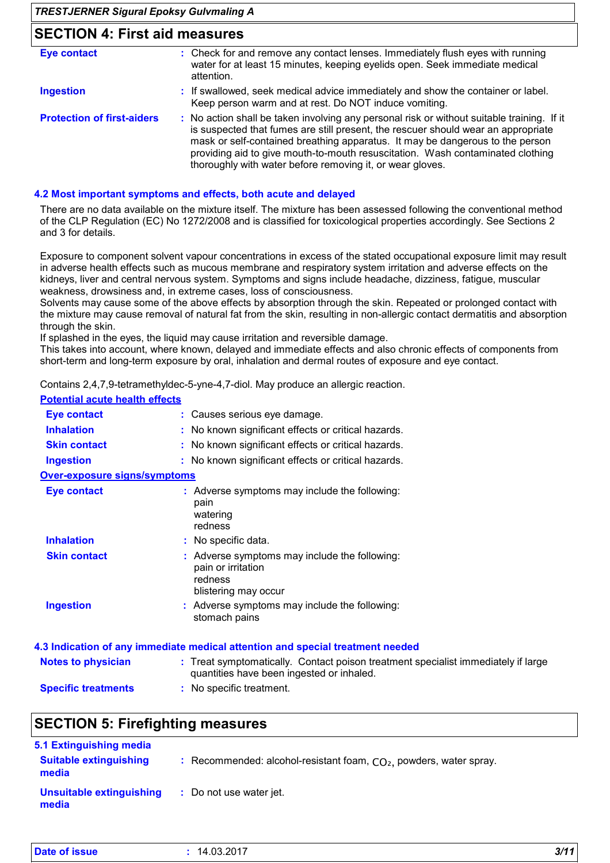### *TRESTJERNER Sigural Epoksy Gulvmaling A* **SECTION 4: First aid measures Protection of first-aiders** : No action shall be taken involving any personal risk or without suitable training. If it is suspected that fumes are still present, the rescuer should wear an appropriate mask or self-contained breathing apparatus. It may be dangerous to the person providing aid to give mouth-to-mouth resuscitation. Wash contaminated clothing thoroughly with water before removing it, or wear gloves. **:** If swallowed, seek medical advice immediately and show the container or label. Keep person warm and at rest. Do NOT induce vomiting. Check for and remove any contact lenses. Immediately flush eyes with running **:** water for at least 15 minutes, keeping eyelids open. Seek immediate medical attention. **Ingestion Eye contact**

### **4.2 Most important symptoms and effects, both acute and delayed**

There are no data available on the mixture itself. The mixture has been assessed following the conventional method of the CLP Regulation (EC) No 1272/2008 and is classified for toxicological properties accordingly. See Sections 2 and 3 for details.

Exposure to component solvent vapour concentrations in excess of the stated occupational exposure limit may result in adverse health effects such as mucous membrane and respiratory system irritation and adverse effects on the kidneys, liver and central nervous system. Symptoms and signs include headache, dizziness, fatigue, muscular weakness, drowsiness and, in extreme cases, loss of consciousness.

Solvents may cause some of the above effects by absorption through the skin. Repeated or prolonged contact with the mixture may cause removal of natural fat from the skin, resulting in non-allergic contact dermatitis and absorption through the skin.

If splashed in the eyes, the liquid may cause irritation and reversible damage.

This takes into account, where known, delayed and immediate effects and also chronic effects of components from short-term and long-term exposure by oral, inhalation and dermal routes of exposure and eye contact.

Contains 2,4,7,9-tetramethyldec-5-yne-4,7-diol. May produce an allergic reaction.

### **Potential acute health effects**

| Eye contact                         | : Causes serious eye damage.                                                                           |
|-------------------------------------|--------------------------------------------------------------------------------------------------------|
| <b>Inhalation</b>                   | : No known significant effects or critical hazards.                                                    |
| <b>Skin contact</b>                 | : No known significant effects or critical hazards.                                                    |
| <b>Ingestion</b>                    | : No known significant effects or critical hazards.                                                    |
| <b>Over-exposure signs/symptoms</b> |                                                                                                        |
| Eye contact                         | : Adverse symptoms may include the following:<br>pain<br>watering<br>redness                           |
| <b>Inhalation</b>                   | : No specific data.                                                                                    |
| <b>Skin contact</b>                 | : Adverse symptoms may include the following:<br>pain or irritation<br>redness<br>blistering may occur |
| <b>Ingestion</b>                    | : Adverse symptoms may include the following:<br>stomach pains                                         |
|                                     | 4.3 Indication of any immediate medical attention and special treatment needed                         |

|                            | 4.9 multanon of any miniculate metrical attention and special treatment necued                                                 |
|----------------------------|--------------------------------------------------------------------------------------------------------------------------------|
| <b>Notes to physician</b>  | : Treat symptomatically. Contact poison treatment specialist immediately if large<br>quantities have been ingested or inhaled. |
| <b>Specific treatments</b> | : No specific treatment.                                                                                                       |

### **SECTION 5: Firefighting measures**

| 5.1 Extinguishing media                |                                                                      |
|----------------------------------------|----------------------------------------------------------------------|
| <b>Suitable extinguishing</b><br>media | : Recommended: alcohol-resistant foam, $CO2$ , powders, water spray. |
| Unsuitable extinguishing<br>media      | : Do not use water jet.                                              |

| Date of issue<br>14.03.2017 | 3/11<br>$\sim$ $\sim$ $\sim$ $\sim$ $\sim$ $\sim$ |
|-----------------------------|---------------------------------------------------|
|-----------------------------|---------------------------------------------------|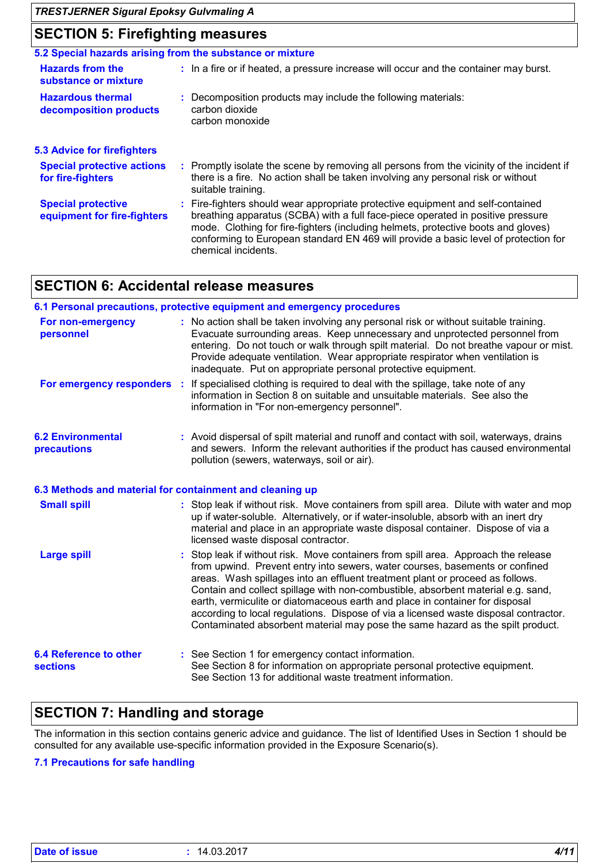# **SECTION 5: Firefighting measures**

| <u>ULUTIUN U. TIIUNINININ MUUJULUJ</u>                                                                                                                                                                                                                                                                                                                                |  |  |  |  |  |
|-----------------------------------------------------------------------------------------------------------------------------------------------------------------------------------------------------------------------------------------------------------------------------------------------------------------------------------------------------------------------|--|--|--|--|--|
| 5.2 Special hazards arising from the substance or mixture                                                                                                                                                                                                                                                                                                             |  |  |  |  |  |
| : In a fire or if heated, a pressure increase will occur and the container may burst.                                                                                                                                                                                                                                                                                 |  |  |  |  |  |
| : Decomposition products may include the following materials:<br>carbon dioxide<br>carbon monoxide                                                                                                                                                                                                                                                                    |  |  |  |  |  |
|                                                                                                                                                                                                                                                                                                                                                                       |  |  |  |  |  |
| : Promptly isolate the scene by removing all persons from the vicinity of the incident if<br>there is a fire. No action shall be taken involving any personal risk or without<br>suitable training.                                                                                                                                                                   |  |  |  |  |  |
| : Fire-fighters should wear appropriate protective equipment and self-contained<br>breathing apparatus (SCBA) with a full face-piece operated in positive pressure<br>mode. Clothing for fire-fighters (including helmets, protective boots and gloves)<br>conforming to European standard EN 469 will provide a basic level of protection for<br>chemical incidents. |  |  |  |  |  |
|                                                                                                                                                                                                                                                                                                                                                                       |  |  |  |  |  |

# **SECTION 6: Accidental release measures**

|                                                          | 6.1 Personal precautions, protective equipment and emergency procedures                                                                                                                                                                                                                                                                                                                                                                                                                                                                                                                           |
|----------------------------------------------------------|---------------------------------------------------------------------------------------------------------------------------------------------------------------------------------------------------------------------------------------------------------------------------------------------------------------------------------------------------------------------------------------------------------------------------------------------------------------------------------------------------------------------------------------------------------------------------------------------------|
| For non-emergency<br>personnel                           | : No action shall be taken involving any personal risk or without suitable training.<br>Evacuate surrounding areas. Keep unnecessary and unprotected personnel from<br>entering. Do not touch or walk through spilt material. Do not breathe vapour or mist.<br>Provide adequate ventilation. Wear appropriate respirator when ventilation is<br>inadequate. Put on appropriate personal protective equipment.                                                                                                                                                                                    |
|                                                          | For emergency responders : If specialised clothing is required to deal with the spillage, take note of any<br>information in Section 8 on suitable and unsuitable materials. See also the<br>information in "For non-emergency personnel".                                                                                                                                                                                                                                                                                                                                                        |
| <b>6.2 Environmental</b><br>precautions                  | : Avoid dispersal of spilt material and runoff and contact with soil, waterways, drains<br>and sewers. Inform the relevant authorities if the product has caused environmental<br>pollution (sewers, waterways, soil or air).                                                                                                                                                                                                                                                                                                                                                                     |
| 6.3 Methods and material for containment and cleaning up |                                                                                                                                                                                                                                                                                                                                                                                                                                                                                                                                                                                                   |
| <b>Small spill</b>                                       | : Stop leak if without risk. Move containers from spill area. Dilute with water and mop<br>up if water-soluble. Alternatively, or if water-insoluble, absorb with an inert dry<br>material and place in an appropriate waste disposal container. Dispose of via a<br>licensed waste disposal contractor.                                                                                                                                                                                                                                                                                          |
| <b>Large spill</b>                                       | : Stop leak if without risk. Move containers from spill area. Approach the release<br>from upwind. Prevent entry into sewers, water courses, basements or confined<br>areas. Wash spillages into an effluent treatment plant or proceed as follows.<br>Contain and collect spillage with non-combustible, absorbent material e.g. sand,<br>earth, vermiculite or diatomaceous earth and place in container for disposal<br>according to local regulations. Dispose of via a licensed waste disposal contractor.<br>Contaminated absorbent material may pose the same hazard as the spilt product. |
| <b>6.4 Reference to other</b><br><b>sections</b>         | : See Section 1 for emergency contact information.<br>See Section 8 for information on appropriate personal protective equipment.<br>See Section 13 for additional waste treatment information.                                                                                                                                                                                                                                                                                                                                                                                                   |

# **SECTION 7: Handling and storage**

The information in this section contains generic advice and guidance. The list of Identified Uses in Section 1 should be consulted for any available use-specific information provided in the Exposure Scenario(s).

### **7.1 Precautions for safe handling**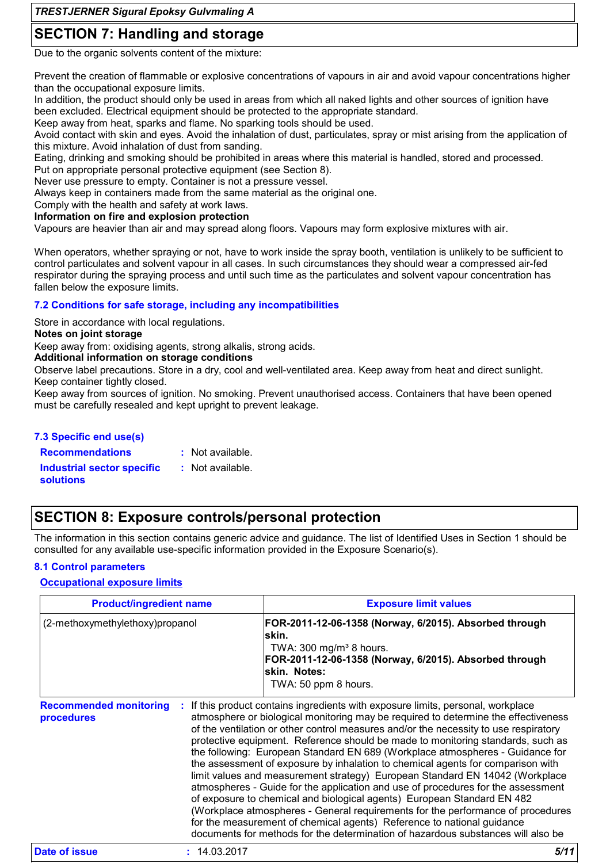# **SECTION 7: Handling and storage**

Due to the organic solvents content of the mixture:

Prevent the creation of flammable or explosive concentrations of vapours in air and avoid vapour concentrations higher than the occupational exposure limits.

In addition, the product should only be used in areas from which all naked lights and other sources of ignition have been excluded. Electrical equipment should be protected to the appropriate standard.

Keep away from heat, sparks and flame. No sparking tools should be used.

Avoid contact with skin and eyes. Avoid the inhalation of dust, particulates, spray or mist arising from the application of this mixture. Avoid inhalation of dust from sanding.

Eating, drinking and smoking should be prohibited in areas where this material is handled, stored and processed.

Put on appropriate personal protective equipment (see Section 8).

Never use pressure to empty. Container is not a pressure vessel.

Always keep in containers made from the same material as the original one.

Comply with the health and safety at work laws.

### **Information on fire and explosion protection**

Vapours are heavier than air and may spread along floors. Vapours may form explosive mixtures with air.

When operators, whether spraying or not, have to work inside the spray booth, ventilation is unlikely to be sufficient to control particulates and solvent vapour in all cases. In such circumstances they should wear a compressed air-fed respirator during the spraying process and until such time as the particulates and solvent vapour concentration has fallen below the exposure limits.

### **7.2 Conditions for safe storage, including any incompatibilities**

Store in accordance with local regulations.

### **Notes on joint storage**

Keep away from: oxidising agents, strong alkalis, strong acids.

### **Additional information on storage conditions**

Observe label precautions. Store in a dry, cool and well-ventilated area. Keep away from heat and direct sunlight. Keep container tightly closed.

Keep away from sources of ignition. No smoking. Prevent unauthorised access. Containers that have been opened must be carefully resealed and kept upright to prevent leakage.

### **7.3 Specific end use(s)**

| <b>Recommendations</b>                         | : Not available. |
|------------------------------------------------|------------------|
| <b>Industrial sector specific</b><br>solutions | : Not available. |

## **SECTION 8: Exposure controls/personal protection**

The information in this section contains generic advice and guidance. The list of Identified Uses in Section 1 should be consulted for any available use-specific information provided in the Exposure Scenario(s).

### **8.1 Control parameters**

### **Occupational exposure limits**

| <b>Product/ingredient name</b>              |              | <b>Exposure limit values</b>                                                                                                                                                                                                                                                                                                                                                                                                                                                                                                                                                                                                                                                                                                                                                                                                                                                                                                                                                                                        |  |  |
|---------------------------------------------|--------------|---------------------------------------------------------------------------------------------------------------------------------------------------------------------------------------------------------------------------------------------------------------------------------------------------------------------------------------------------------------------------------------------------------------------------------------------------------------------------------------------------------------------------------------------------------------------------------------------------------------------------------------------------------------------------------------------------------------------------------------------------------------------------------------------------------------------------------------------------------------------------------------------------------------------------------------------------------------------------------------------------------------------|--|--|
| (2-methoxymethylethoxy)propanol             |              | FOR-2011-12-06-1358 (Norway, 6/2015). Absorbed through<br>lskin.<br>TWA: $300 \text{ mg/m}^3$ 8 hours.<br>FOR-2011-12-06-1358 (Norway, 6/2015). Absorbed through<br>lskin. Notes:<br>TWA: 50 ppm 8 hours.                                                                                                                                                                                                                                                                                                                                                                                                                                                                                                                                                                                                                                                                                                                                                                                                           |  |  |
| <b>Recommended monitoring</b><br>procedures |              | If this product contains ingredients with exposure limits, personal, workplace<br>atmosphere or biological monitoring may be required to determine the effectiveness<br>of the ventilation or other control measures and/or the necessity to use respiratory<br>protective equipment. Reference should be made to monitoring standards, such as<br>the following: European Standard EN 689 (Workplace atmospheres - Guidance for<br>the assessment of exposure by inhalation to chemical agents for comparison with<br>limit values and measurement strategy) European Standard EN 14042 (Workplace<br>atmospheres - Guide for the application and use of procedures for the assessment<br>of exposure to chemical and biological agents) European Standard EN 482<br>(Workplace atmospheres - General requirements for the performance of procedures<br>for the measurement of chemical agents) Reference to national guidance<br>documents for methods for the determination of hazardous substances will also be |  |  |
| Date of issue                               | : 14.03.2017 | 5/11                                                                                                                                                                                                                                                                                                                                                                                                                                                                                                                                                                                                                                                                                                                                                                                                                                                                                                                                                                                                                |  |  |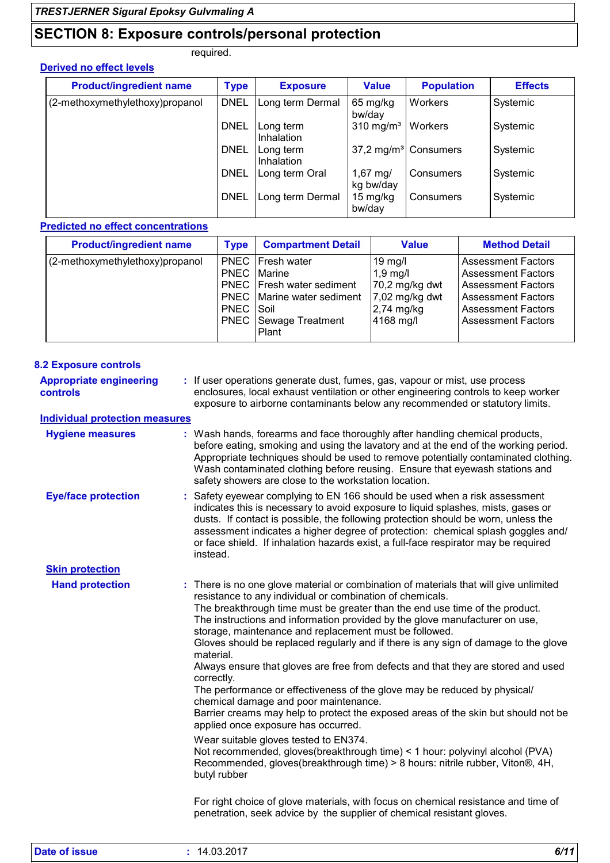# **SECTION 8: Exposure controls/personal protection**

required.

| <b>Product/ingredient name</b>  | <b>Type</b> | <b>Exposure</b>         | <b>Value</b>                     | <b>Population</b> | <b>Effects</b> |
|---------------------------------|-------------|-------------------------|----------------------------------|-------------------|----------------|
| (2-methoxymethylethoxy)propanol | <b>DNEL</b> | Long term Dermal        | 65 mg/kg<br>bw/day               | <b>Workers</b>    | Systemic       |
|                                 | <b>DNEL</b> | Long term<br>Inhalation | 310 mg/m <sup>3</sup>            | Workers           | Systemic       |
|                                 | <b>DNEL</b> | Long term<br>Inhalation | 37,2 mg/m <sup>3</sup> Consumers |                   | Systemic       |
|                                 | <b>DNEL</b> | Long term Oral          | $1,67 \, \text{mg}$<br>kg bw/day | Consumers         | Systemic       |
|                                 | <b>DNEL</b> | Long term Dermal        | 15 mg/kg<br>bw/day               | Consumers         | Systemic       |

### **Predicted no effect concentrations**

| <b>Product/ingredient name</b>  | <b>Type</b>              | <b>Compartment Detail</b>                                                                                                                            | <b>Value</b>                                                                             | <b>Method Detail</b>                                                                                                                                                       |
|---------------------------------|--------------------------|------------------------------------------------------------------------------------------------------------------------------------------------------|------------------------------------------------------------------------------------------|----------------------------------------------------------------------------------------------------------------------------------------------------------------------------|
| (2-methoxymethylethoxy)propanol | PNEC Soil<br><b>PNEC</b> | PNEC   Fresh water<br><b>PNEC</b>   Marine<br><b>PNEC</b>   Fresh water sediment<br><b>PNEC</b>   Marine water sediment<br>Sewage Treatment<br>Plant | $19$ mg/l<br>$1,9$ mg/l<br>70,2 mg/kg dwt<br>$7,02$ mg/kg dwt<br>2,74 mg/kg<br>4168 mg/l | <b>Assessment Factors</b><br><b>Assessment Factors</b><br><b>Assessment Factors</b><br><b>Assessment Factors</b><br><b>Assessment Factors</b><br><b>Assessment Factors</b> |

| <b>8.2 Exposure controls</b>               |                                                                                                                                                                                                                                                                                                                                                                                                                                                                                                                                                                                                                                                                                                                                                                                                                                                                                                                                                                                                                                                                                                                                                                                                                                 |
|--------------------------------------------|---------------------------------------------------------------------------------------------------------------------------------------------------------------------------------------------------------------------------------------------------------------------------------------------------------------------------------------------------------------------------------------------------------------------------------------------------------------------------------------------------------------------------------------------------------------------------------------------------------------------------------------------------------------------------------------------------------------------------------------------------------------------------------------------------------------------------------------------------------------------------------------------------------------------------------------------------------------------------------------------------------------------------------------------------------------------------------------------------------------------------------------------------------------------------------------------------------------------------------|
| <b>Appropriate engineering</b><br>controls | : If user operations generate dust, fumes, gas, vapour or mist, use process<br>enclosures, local exhaust ventilation or other engineering controls to keep worker<br>exposure to airborne contaminants below any recommended or statutory limits.                                                                                                                                                                                                                                                                                                                                                                                                                                                                                                                                                                                                                                                                                                                                                                                                                                                                                                                                                                               |
| <b>Individual protection measures</b>      |                                                                                                                                                                                                                                                                                                                                                                                                                                                                                                                                                                                                                                                                                                                                                                                                                                                                                                                                                                                                                                                                                                                                                                                                                                 |
| <b>Hygiene measures</b>                    | : Wash hands, forearms and face thoroughly after handling chemical products,<br>before eating, smoking and using the lavatory and at the end of the working period.<br>Appropriate techniques should be used to remove potentially contaminated clothing.<br>Wash contaminated clothing before reusing. Ensure that eyewash stations and<br>safety showers are close to the workstation location.                                                                                                                                                                                                                                                                                                                                                                                                                                                                                                                                                                                                                                                                                                                                                                                                                               |
| <b>Eye/face protection</b>                 | : Safety eyewear complying to EN 166 should be used when a risk assessment<br>indicates this is necessary to avoid exposure to liquid splashes, mists, gases or<br>dusts. If contact is possible, the following protection should be worn, unless the<br>assessment indicates a higher degree of protection: chemical splash goggles and/<br>or face shield. If inhalation hazards exist, a full-face respirator may be required<br>instead.                                                                                                                                                                                                                                                                                                                                                                                                                                                                                                                                                                                                                                                                                                                                                                                    |
| <b>Skin protection</b>                     |                                                                                                                                                                                                                                                                                                                                                                                                                                                                                                                                                                                                                                                                                                                                                                                                                                                                                                                                                                                                                                                                                                                                                                                                                                 |
| <b>Hand protection</b>                     | : There is no one glove material or combination of materials that will give unlimited<br>resistance to any individual or combination of chemicals.<br>The breakthrough time must be greater than the end use time of the product.<br>The instructions and information provided by the glove manufacturer on use,<br>storage, maintenance and replacement must be followed.<br>Gloves should be replaced regularly and if there is any sign of damage to the glove<br>material.<br>Always ensure that gloves are free from defects and that they are stored and used<br>correctly.<br>The performance or effectiveness of the glove may be reduced by physical/<br>chemical damage and poor maintenance.<br>Barrier creams may help to protect the exposed areas of the skin but should not be<br>applied once exposure has occurred.<br>Wear suitable gloves tested to EN374.<br>Not recommended, gloves (breakthrough time) < 1 hour: polyvinyl alcohol (PVA)<br>Recommended, gloves(breakthrough time) > 8 hours: nitrile rubber, Viton®, 4H,<br>butyl rubber<br>For right choice of glove materials, with focus on chemical resistance and time of<br>penetration, seek advice by the supplier of chemical resistant gloves. |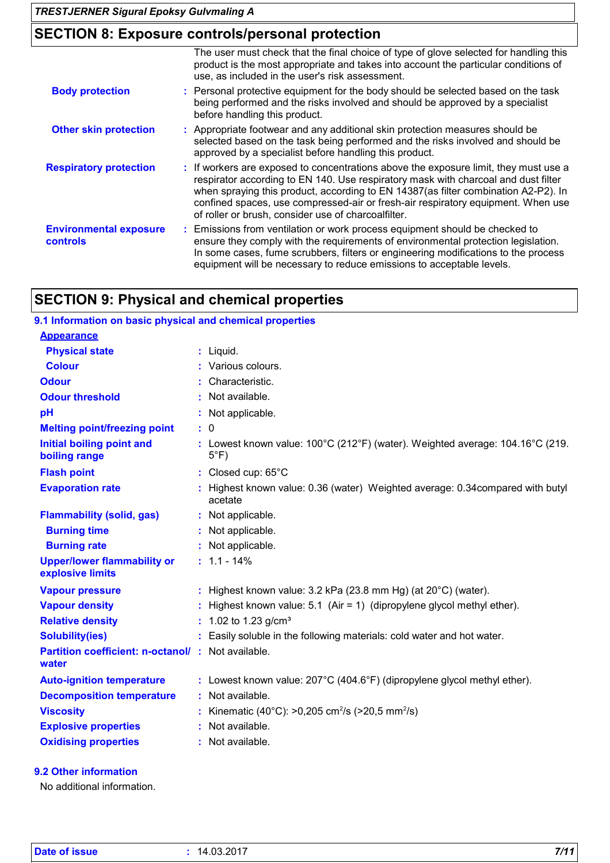# **SECTION 8: Exposure controls/personal protection**

|                                                  | The user must check that the final choice of type of glove selected for handling this<br>product is the most appropriate and takes into account the particular conditions of<br>use, as included in the user's risk assessment.                                                                                                                                                                             |
|--------------------------------------------------|-------------------------------------------------------------------------------------------------------------------------------------------------------------------------------------------------------------------------------------------------------------------------------------------------------------------------------------------------------------------------------------------------------------|
| <b>Body protection</b>                           | : Personal protective equipment for the body should be selected based on the task<br>being performed and the risks involved and should be approved by a specialist<br>before handling this product.                                                                                                                                                                                                         |
| <b>Other skin protection</b>                     | : Appropriate footwear and any additional skin protection measures should be<br>selected based on the task being performed and the risks involved and should be<br>approved by a specialist before handling this product.                                                                                                                                                                                   |
| <b>Respiratory protection</b>                    | : If workers are exposed to concentrations above the exposure limit, they must use a<br>respirator according to EN 140. Use respiratory mask with charcoal and dust filter<br>when spraying this product, according to EN 14387(as filter combination A2-P2). In<br>confined spaces, use compressed-air or fresh-air respiratory equipment. When use<br>of roller or brush, consider use of charcoalfilter. |
| <b>Environmental exposure</b><br><b>controls</b> | Emissions from ventilation or work process equipment should be checked to<br>ensure they comply with the requirements of environmental protection legislation.<br>In some cases, fume scrubbers, filters or engineering modifications to the process<br>equipment will be necessary to reduce emissions to acceptable levels.                                                                               |

# **SECTION 9: Physical and chemical properties**

| 9.1 Information on basic physical and chemical properties  |                                                                                                 |
|------------------------------------------------------------|-------------------------------------------------------------------------------------------------|
| <b>Appearance</b>                                          |                                                                                                 |
| <b>Physical state</b>                                      | $:$ Liquid.                                                                                     |
| <b>Colour</b>                                              | Various colours.                                                                                |
| <b>Odour</b>                                               | Characteristic.                                                                                 |
| <b>Odour threshold</b>                                     | Not available.                                                                                  |
| pH                                                         | : Not applicable.                                                                               |
| <b>Melting point/freezing point</b>                        | : 0                                                                                             |
| <b>Initial boiling point and</b><br>boiling range          | : Lowest known value: 100°C (212°F) (water). Weighted average: 104.16°C (219.<br>$5^{\circ}$ F) |
| <b>Flash point</b>                                         | : Closed cup: $65^{\circ}$ C                                                                    |
| <b>Evaporation rate</b>                                    | : Highest known value: 0.36 (water) Weighted average: 0.34 compared with butyl<br>acetate       |
| <b>Flammability (solid, gas)</b>                           | : Not applicable.                                                                               |
| <b>Burning time</b>                                        | : Not applicable.                                                                               |
| <b>Burning rate</b>                                        | : Not applicable.                                                                               |
| <b>Upper/lower flammability or</b><br>explosive limits     | $: 1.1 - 14\%$                                                                                  |
| <b>Vapour pressure</b>                                     | : Highest known value: $3.2$ kPa (23.8 mm Hg) (at $20^{\circ}$ C) (water).                      |
| <b>Vapour density</b>                                      | : Highest known value: 5.1 (Air = 1) (dipropylene glycol methyl ether).                         |
| <b>Relative density</b>                                    | : 1.02 to 1.23 $g/cm3$                                                                          |
| <b>Solubility(ies)</b>                                     | : Easily soluble in the following materials: cold water and hot water.                          |
| Partition coefficient: n-octanol/: Not available.<br>water |                                                                                                 |
| <b>Auto-ignition temperature</b>                           | : Lowest known value: 207°C (404.6°F) (dipropylene glycol methyl ether).                        |
| <b>Decomposition temperature</b>                           | : Not available.                                                                                |
| <b>Viscosity</b>                                           | : Kinematic (40°C): >0,205 cm <sup>2</sup> /s (>20,5 mm <sup>2</sup> /s)                        |
| <b>Explosive properties</b>                                | : Not available.                                                                                |
| <b>Oxidising properties</b>                                | : Not available.                                                                                |

### **9.2 Other information**

No additional information.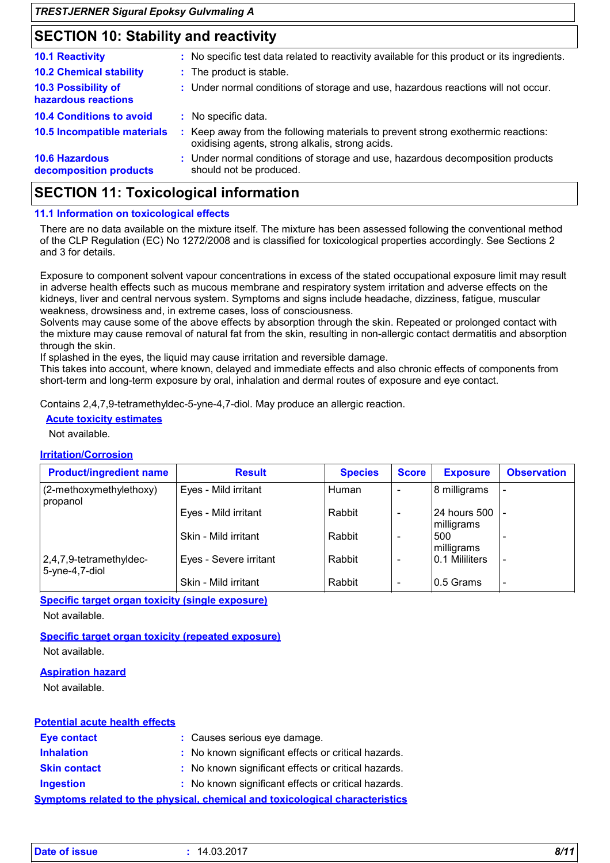# **SECTION 10: Stability and reactivity**

| : No specific test data related to reactivity available for this product or its ingredients.                                        |
|-------------------------------------------------------------------------------------------------------------------------------------|
| : The product is stable.                                                                                                            |
| : Under normal conditions of storage and use, hazardous reactions will not occur.                                                   |
| : No specific data.                                                                                                                 |
| : Keep away from the following materials to prevent strong exothermic reactions:<br>oxidising agents, strong alkalis, strong acids. |
| : Under normal conditions of storage and use, hazardous decomposition products<br>should not be produced.                           |
|                                                                                                                                     |

## **SECTION 11: Toxicological information**

### **11.1 Information on toxicological effects**

There are no data available on the mixture itself. The mixture has been assessed following the conventional method of the CLP Regulation (EC) No 1272/2008 and is classified for toxicological properties accordingly. See Sections 2 and 3 for details.

Exposure to component solvent vapour concentrations in excess of the stated occupational exposure limit may result in adverse health effects such as mucous membrane and respiratory system irritation and adverse effects on the kidneys, liver and central nervous system. Symptoms and signs include headache, dizziness, fatigue, muscular weakness, drowsiness and, in extreme cases, loss of consciousness.

Solvents may cause some of the above effects by absorption through the skin. Repeated or prolonged contact with the mixture may cause removal of natural fat from the skin, resulting in non-allergic contact dermatitis and absorption through the skin.

If splashed in the eyes, the liquid may cause irritation and reversible damage.

This takes into account, where known, delayed and immediate effects and also chronic effects of components from short-term and long-term exposure by oral, inhalation and dermal routes of exposure and eye contact.

Contains 2,4,7,9-tetramethyldec-5-yne-4,7-diol. May produce an allergic reaction.

### **Acute toxicity estimates**

Not available.

### **Irritation/Corrosion**

| <b>Product/ingredient name</b>                   | <b>Result</b>          | <b>Species</b> | <b>Score</b> | <b>Exposure</b>                | <b>Observation</b>       |
|--------------------------------------------------|------------------------|----------------|--------------|--------------------------------|--------------------------|
| (2-methoxymethylethoxy)<br>propanol              | Eyes - Mild irritant   | Human          | $\sim$       | 8 milligrams                   |                          |
|                                                  | Eyes - Mild irritant   | Rabbit         |              | 24 hours 500   -<br>milligrams |                          |
|                                                  | Skin - Mild irritant   | Rabbit         |              | 500<br>milligrams              |                          |
| $ 2,4,7,9$ -tetramethyldec-<br>$5$ -yne-4,7-diol | Eyes - Severe irritant | Rabbit         |              | 10.1 Mililiters                |                          |
|                                                  | Skin - Mild irritant   | Rabbit         | -            | 0.5 Grams                      | $\overline{\phantom{a}}$ |

**Specific target organ toxicity (single exposure)**

Not available.

**Specific target organ toxicity (repeated exposure)** Not available.

### **Aspiration hazard**

Not available.

| <b>Potential acute health effects</b> |                                                                              |
|---------------------------------------|------------------------------------------------------------------------------|
| <b>Eye contact</b>                    | : Causes serious eye damage.                                                 |
| <b>Inhalation</b>                     | : No known significant effects or critical hazards.                          |
| <b>Skin contact</b>                   | : No known significant effects or critical hazards.                          |
| <b>Ingestion</b>                      | : No known significant effects or critical hazards.                          |
|                                       | Symptoms related to the physical, chemical and toxicological characteristics |

| Date of issue | 14.03.2017 | 8/11 |
|---------------|------------|------|
|               |            |      |
|               |            |      |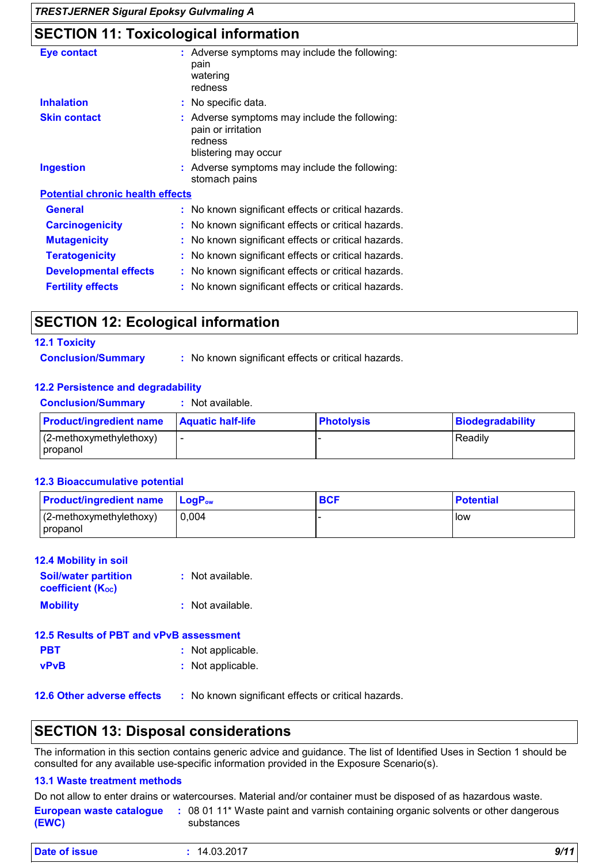*TRESTJERNER Sigural Epoksy Gulvmaling A*

# **SECTION 11: Toxicological information**

| <b>Eye contact</b>                      | : Adverse symptoms may include the following:<br>pain<br>watering<br>redness                         |
|-----------------------------------------|------------------------------------------------------------------------------------------------------|
| <b>Inhalation</b>                       | : No specific data.                                                                                  |
| <b>Skin contact</b>                     | Adverse symptoms may include the following:<br>pain or irritation<br>redness<br>blistering may occur |
| <b>Ingestion</b>                        | : Adverse symptoms may include the following:<br>stomach pains                                       |
| <b>Potential chronic health effects</b> |                                                                                                      |
| <b>General</b>                          | : No known significant effects or critical hazards.                                                  |
| <b>Carcinogenicity</b>                  | No known significant effects or critical hazards.                                                    |
| <b>Mutagenicity</b>                     | No known significant effects or critical hazards.                                                    |
| <b>Teratogenicity</b>                   | No known significant effects or critical hazards.                                                    |
| <b>Developmental effects</b>            | No known significant effects or critical hazards.                                                    |
| <b>Fertility effects</b>                | No known significant effects or critical hazards.                                                    |

# **SECTION 12: Ecological information**

### **12.1 Toxicity**

**Conclusion/Summary :**

: No known significant effects or critical hazards.

### **12.2 Persistence and degradability**

| <b>Conclusion/Summary</b> |  | Not available. |  |
|---------------------------|--|----------------|--|
|                           |  |                |  |

| <b>Product/ingredient name</b> | <b>Aquatic half-life</b> | <b>Photolysis</b> | Biodegradability |
|--------------------------------|--------------------------|-------------------|------------------|
| $(2$ -methoxymethylethoxy)     | $\overline{\phantom{a}}$ |                   | Readily          |
| <b>propanol</b>                |                          |                   |                  |

### **12.3 Bioaccumulative potential**

| <b>Product/ingredient name</b>        | $\mathsf{LoaP}_\mathsf{ow}$ | <b>BCF</b> | <b>Potential</b> |
|---------------------------------------|-----------------------------|------------|------------------|
| $(2-methoxymethylethoxy)$<br>propanol | 0.004                       |            | l low            |

| <b>12.4 Mobility in soil</b>                            |                    |
|---------------------------------------------------------|--------------------|
| <b>Soil/water partition</b><br><b>coefficient (Koc)</b> | : Not available.   |
| <b>Mobility</b>                                         | $:$ Not available. |
| <b>12.5 Results of PBT and vPvB assessment</b>          |                    |

| <b>PBT</b>  | : Not applicable. |
|-------------|-------------------|
| <b>vPvB</b> | : Not applicable. |

**12.6 Other adverse effects** : No known significant effects or critical hazards.

# **SECTION 13: Disposal considerations**

The information in this section contains generic advice and guidance. The list of Identified Uses in Section 1 should be consulted for any available use-specific information provided in the Exposure Scenario(s).

### **13.1 Waste treatment methods**

Do not allow to enter drains or watercourses. Material and/or container must be disposed of as hazardous waste.

| European waste catalogue | : 08 01 11* Waste paint and varnish containing organic solvents or other dangerous |
|--------------------------|------------------------------------------------------------------------------------|
| (EWC)                    | substances                                                                         |
|                          |                                                                                    |

| Date of issue | 14.03.2017 | 9/11 |
|---------------|------------|------|
|---------------|------------|------|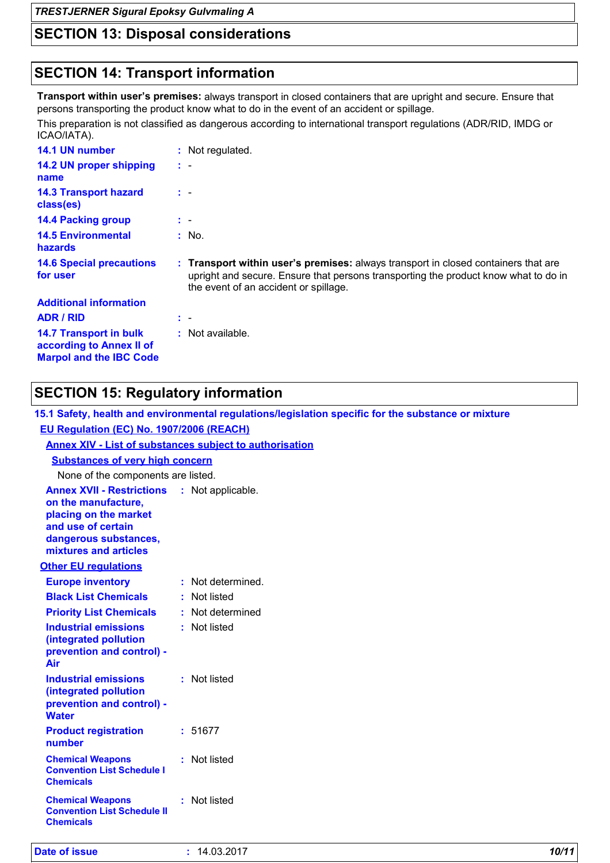*TRESTJERNER Sigural Epoksy Gulvmaling A*

# **SECTION 13: Disposal considerations**

# **SECTION 14: Transport information**

**Transport within user's premises:** always transport in closed containers that are upright and secure. Ensure that persons transporting the product know what to do in the event of an accident or spillage.

This preparation is not classified as dangerous according to international transport regulations (ADR/RID, IMDG or ICAO/IATA).

| 14.1 UN number                                            | : Not regulated.                                                                                                                                                                                                   |
|-----------------------------------------------------------|--------------------------------------------------------------------------------------------------------------------------------------------------------------------------------------------------------------------|
| 14.2 UN proper shipping<br>name                           | $\mathbf{r}$                                                                                                                                                                                                       |
| <b>14.3 Transport hazard</b><br>class(es)                 | $\mathbf{r}$                                                                                                                                                                                                       |
| <b>14.4 Packing group</b>                                 | t -                                                                                                                                                                                                                |
| <b>14.5 Environmental</b><br><b>hazards</b>               | : No.                                                                                                                                                                                                              |
| <b>14.6 Special precautions</b><br>for user               | : Transport within user's premises: always transport in closed containers that are<br>upright and secure. Ensure that persons transporting the product know what to do in<br>the event of an accident or spillage. |
| <b>Additional information</b>                             |                                                                                                                                                                                                                    |
| <b>ADR / RID</b>                                          | t -                                                                                                                                                                                                                |
| <b>14.7 Transport in bulk</b><br>according to Annex II of | : Not available.                                                                                                                                                                                                   |

## **SECTION 15: Regulatory information**

**15.1 Safety, health and environmental regulations/legislation specific for the substance or mixture EU Regulation (EC) No. 1907/2006 (REACH)**

| <b>Annex XIV - List of substances subject to authorisation</b>                                                                                                             |                   |
|----------------------------------------------------------------------------------------------------------------------------------------------------------------------------|-------------------|
| <b>Substances of very high concern</b>                                                                                                                                     |                   |
| None of the components are listed.                                                                                                                                         |                   |
| <b>Annex XVII - Restrictions : Not applicable.</b><br>on the manufacture,<br>placing on the market<br>and use of certain<br>dangerous substances,<br>mixtures and articles |                   |
| <b>Other EU regulations</b>                                                                                                                                                |                   |
| <b>Europe inventory</b>                                                                                                                                                    | : Not determined. |
| <b>Black List Chemicals</b>                                                                                                                                                | : Not listed      |
| <b>Priority List Chemicals</b>                                                                                                                                             | : Not determined  |
| <b>Industrial emissions</b><br>(integrated pollution<br>prevention and control) -<br>Air                                                                                   | : Not listed      |
| <b>Industrial emissions</b><br>(integrated pollution<br>prevention and control) -<br><b>Water</b>                                                                          | : Not listed      |
| <b>Product registration</b><br>number                                                                                                                                      | : 51677           |
| <b>Chemical Weapons</b><br><b>Convention List Schedule I</b><br><b>Chemicals</b>                                                                                           | Not listed        |
| <b>Chemical Weapons</b><br><b>Convention List Schedule II</b><br><b>Chemicals</b>                                                                                          | Not listed        |
|                                                                                                                                                                            |                   |

| <b>Date of issue</b> | .4.03.2017<br>14. | 10/11 |
|----------------------|-------------------|-------|
|                      |                   |       |